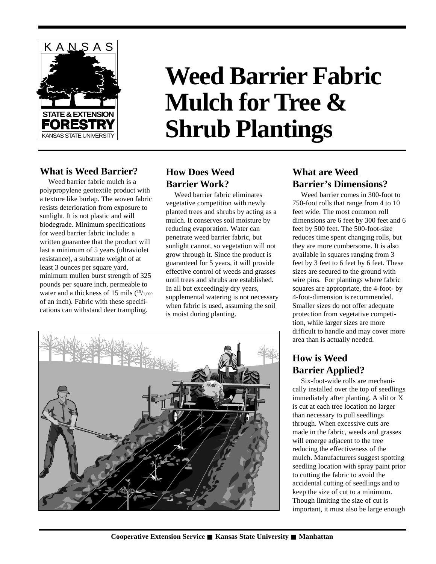

# **Weed Barrier Fabric Mulch for Tree & Shrub Plantings**

## **What is Weed Barrier?**

Weed barrier fabric mulch is a polypropylene geotextile product with a texture like burlap. The woven fabric resists deterioration from exposure to sunlight. It is not plastic and will biodegrade. Minimum specifications for weed barrier fabric include: a written guarantee that the product will last a minimum of 5 years (ultraviolet resistance), a substrate weight of at least 3 ounces per square yard, minimum mullen burst strength of 325 pounds per square inch, permeable to water and a thickness of 15 mils  $(^{15}/_{1,000})$ of an inch). Fabric with these specifications can withstand deer trampling.

# **How Does Weed Barrier Work?**

Weed barrier fabric eliminates vegetative competition with newly planted trees and shrubs by acting as a mulch. It conserves soil moisture by reducing evaporation. Water can penetrate weed barrier fabric, but sunlight cannot, so vegetation will not grow through it. Since the product is guaranteed for 5 years, it will provide effective control of weeds and grasses until trees and shrubs are established. In all but exceedingly dry years, supplemental watering is not necessary when fabric is used, assuming the soil is moist during planting.



## **What are Weed Barrier's Dimensions?**

Weed barrier comes in 300-foot to 750-foot rolls that range from 4 to 10 feet wide. The most common roll dimensions are 6 feet by 300 feet and 6 feet by 500 feet. The 500-foot-size reduces time spent changing rolls, but they are more cumbersome. It is also available in squares ranging from 3 feet by 3 feet to 6 feet by 6 feet. These sizes are secured to the ground with wire pins. For plantings where fabric squares are appropriate, the 4-foot- by 4-foot-dimension is recommended. Smaller sizes do not offer adequate protection from vegetative competition, while larger sizes are more difficult to handle and may cover more area than is actually needed.

# **How is Weed Barrier Applied?**

Six-foot-wide rolls are mechanically installed over the top of seedlings immediately after planting. A slit or X is cut at each tree location no larger than necessary to pull seedlings through. When excessive cuts are made in the fabric, weeds and grasses will emerge adjacent to the tree reducing the effectiveness of the mulch. Manufacturers suggest spotting seedling location with spray paint prior to cutting the fabric to avoid the accidental cutting of seedlings and to keep the size of cut to a minimum. Though limiting the size of cut is important, it must also be large enough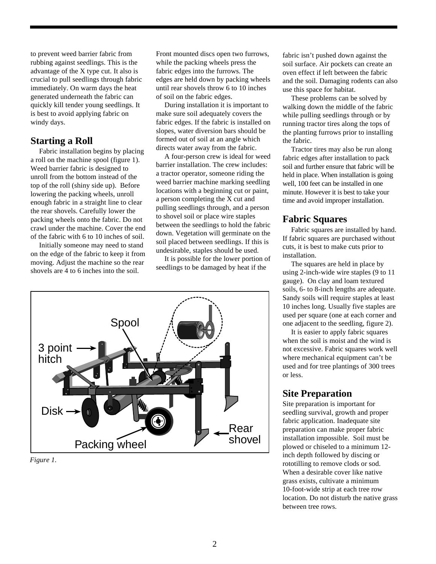to prevent weed barrier fabric from rubbing against seedlings. This is the advantage of the X type cut. It also is crucial to pull seedlings through fabric immediately. On warm days the heat generated underneath the fabric can quickly kill tender young seedlings. It is best to avoid applying fabric on windy days.

#### **Starting a Roll**

Fabric installation begins by placing a roll on the machine spool (figure 1). Weed barrier fabric is designed to unroll from the bottom instead of the top of the roll (shiny side up). Before lowering the packing wheels, unroll enough fabric in a straight line to clear the rear shovels. Carefully lower the packing wheels onto the fabric. Do not crawl under the machine. Cover the end of the fabric with 6 to 10 inches of soil.

Initially someone may need to stand on the edge of the fabric to keep it from moving. Adjust the machine so the rear shovels are 4 to 6 inches into the soil.

Front mounted discs open two furrows, while the packing wheels press the fabric edges into the furrows. The edges are held down by packing wheels until rear shovels throw 6 to 10 inches of soil on the fabric edges.

During installation it is important to make sure soil adequately covers the fabric edges. If the fabric is installed on slopes, water diversion bars should be formed out of soil at an angle which directs water away from the fabric.

A four-person crew is ideal for weed barrier installation. The crew includes: a tractor operator, someone riding the weed barrier machine marking seedling locations with a beginning cut or paint, a person completing the X cut and pulling seedlings through, and a person to shovel soil or place wire staples between the seedlings to hold the fabric down. Vegetation will germinate on the soil placed between seedlings. If this is undesirable, staples should be used.

It is possible for the lower portion of seedlings to be damaged by heat if the



*Figure 1.*

fabric isn't pushed down against the soil surface. Air pockets can create an oven effect if left between the fabric and the soil. Damaging rodents can also use this space for habitat.

These problems can be solved by walking down the middle of the fabric while pulling seedlings through or by running tractor tires along the tops of the planting furrows prior to installing the fabric.

Tractor tires may also be run along fabric edges after installation to pack soil and further ensure that fabric will be held in place. When installation is going well, 100 feet can be installed in one minute. However it is best to take your time and avoid improper installation.

## **Fabric Squares**

Fabric squares are installed by hand. If fabric squares are purchased without cuts, it is best to make cuts prior to installation.

The squares are held in place by using 2-inch-wide wire staples (9 to 11 gauge). On clay and loam textured soils, 6- to 8-inch lengths are adequate. Sandy soils will require staples at least 10 inches long. Usually five staples are used per square (one at each corner and one adjacent to the seedling, figure 2).

It is easier to apply fabric squares when the soil is moist and the wind is not excessive. Fabric squares work well where mechanical equipment can't be used and for tree plantings of 300 trees or less.

### **Site Preparation**

Site preparation is important for seedling survival, growth and proper fabric application. Inadequate site preparation can make proper fabric installation impossible. Soil must be plowed or chiseled to a minimum 12 inch depth followed by discing or rototilling to remove clods or sod. When a desirable cover like native grass exists, cultivate a minimum 10-foot-wide strip at each tree row location. Do not disturb the native grass between tree rows.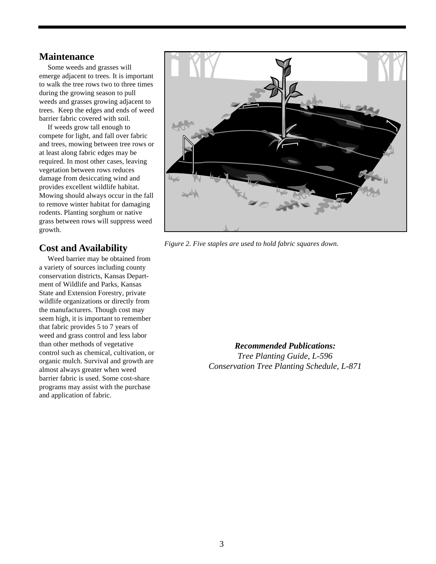#### **Maintenance**

Some weeds and grasses will emerge adjacent to trees. It is important to walk the tree rows two to three times during the growing season to pull weeds and grasses growing adjacent to trees. Keep the edges and ends of weed barrier fabric covered with soil.

If weeds grow tall enough to compete for light, and fall over fabric and trees, mowing between tree rows or at least along fabric edges may be required. In most other cases, leaving vegetation between rows reduces damage from desiccating wind and provides excellent wildlife habitat. Mowing should always occur in the fall to remove winter habitat for damaging rodents. Planting sorghum or native grass between rows will suppress weed growth.

### **Cost and Availability**

Weed barrier may be obtained from a variety of sources including county conservation districts, Kansas Department of Wildlife and Parks, Kansas State and Extension Forestry, private wildlife organizations or directly from the manufacturers. Though cost may seem high, it is important to remember that fabric provides 5 to 7 years of weed and grass control and less labor than other methods of vegetative control such as chemical, cultivation, or organic mulch. Survival and growth are almost always greater when weed barrier fabric is used. Some cost-share programs may assist with the purchase and application of fabric.



*Figure 2. Five staples are used to hold fabric squares down.*

*Recommended Publications:*

*Tree Planting Guide, L-596 Conservation Tree Planting Schedule, L-871*